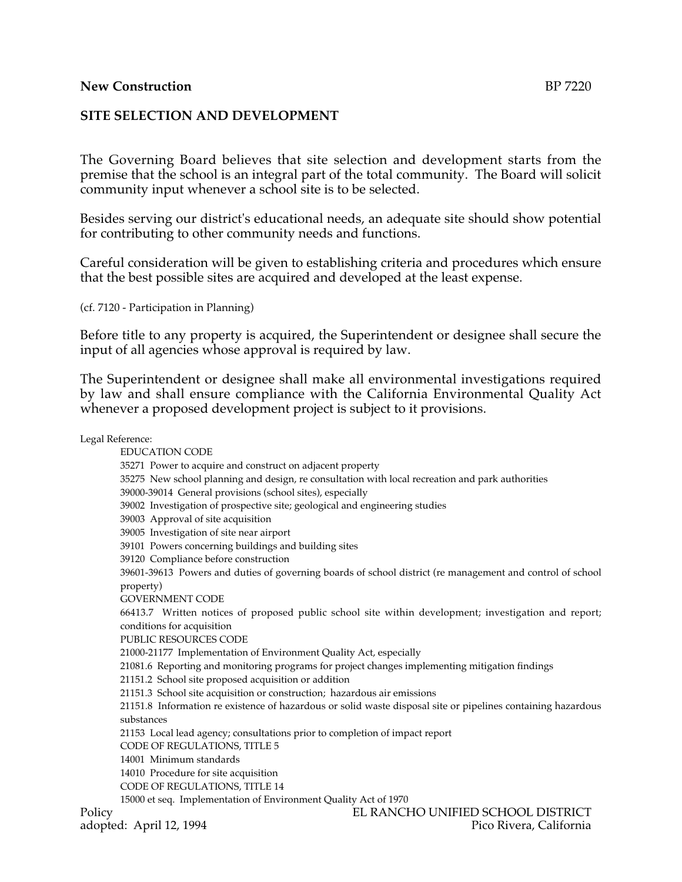#### **New Construction** BP 7220

#### **SITE SELECTION AND DEVELOPMENT**

The Governing Board believes that site selection and development starts from the premise that the school is an integral part of the total community. The Board will solicit community input whenever a school site is to be selected.

Besides serving our district's educational needs, an adequate site should show potential for contributing to other community needs and functions.

Careful consideration will be given to establishing criteria and procedures which ensure that the best possible sites are acquired and developed at the least expense.

(cf. 7120 - Participation in Planning)

Before title to any property is acquired, the Superintendent or designee shall secure the input of all agencies whose approval is required by law.

The Superintendent or designee shall make all environmental investigations required by law and shall ensure compliance with the California Environmental Quality Act whenever a proposed development project is subject to it provisions.

Legal Reference: EDUCATION CODE 35271 Power to acquire and construct on adjacent property 35275 New school planning and design, re consultation with local recreation and park authorities 39000-39014 General provisions (school sites), especially 39002 Investigation of prospective site; geological and engineering studies 39003 Approval of site acquisition 39005 Investigation of site near airport 39101 Powers concerning buildings and building sites 39120 Compliance before construction 39601-39613 Powers and duties of governing boards of school district (re management and control of school property) GOVERNMENT CODE 66413.7 Written notices of proposed public school site within development; investigation and report; conditions for acquisition PUBLIC RESOURCES CODE 21000-21177 Implementation of Environment Quality Act, especially 21081.6 Reporting and monitoring programs for project changes implementing mitigation findings 21151.2 School site proposed acquisition or addition 21151.3 School site acquisition or construction; hazardous air emissions 21151.8 Information re existence of hazardous or solid waste disposal site or pipelines containing hazardous substances 21153 Local lead agency; consultations prior to completion of impact report CODE OF REGULATIONS, TITLE 5 14001 Minimum standards 14010 Procedure for site acquisition CODE OF REGULATIONS, TITLE 14 15000 et seq. Implementation of Environment Quality Act of 1970 Policy EL RANCHO UNIFIED SCHOOL DISTRICT adopted: April 12, 1994 **Pico Rivera, California**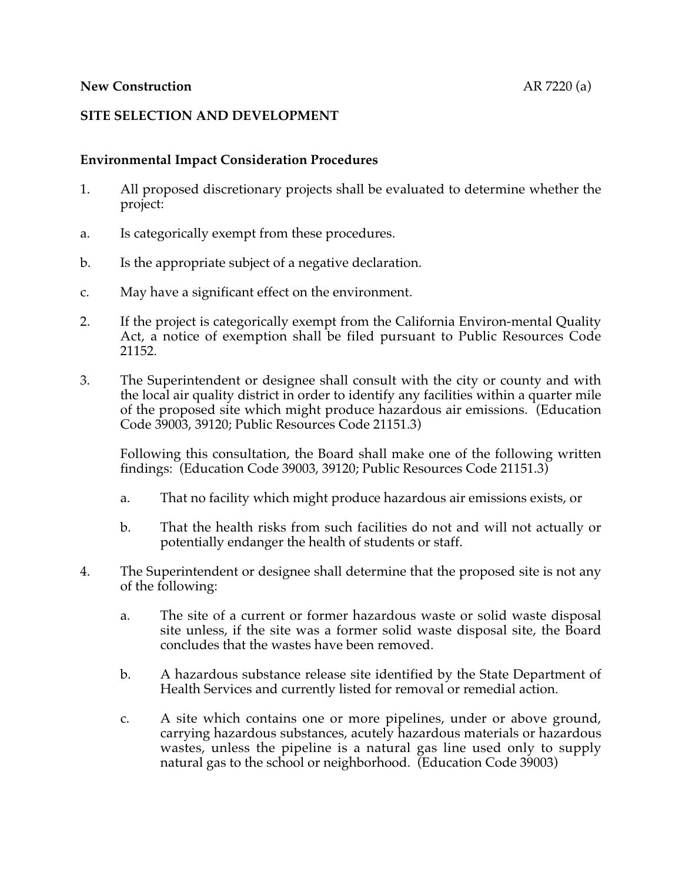### **SITE SELECTION AND DEVELOPMENT**

### **Environmental Impact Consideration Procedures**

- 1. All proposed discretionary projects shall be evaluated to determine whether the project:
- a. Is categorically exempt from these procedures.
- b. Is the appropriate subject of a negative declaration.
- c. May have a significant effect on the environment.
- 2. If the project is categorically exempt from the California Environ-mental Quality Act, a notice of exemption shall be filed pursuant to Public Resources Code 21152.
- 3. The Superintendent or designee shall consult with the city or county and with the local air quality district in order to identify any facilities within a quarter mile of the proposed site which might produce hazardous air emissions. (Education Code 39003, 39120; Public Resources Code 21151.3)

Following this consultation, the Board shall make one of the following written findings: (Education Code 39003, 39120; Public Resources Code 21151.3)

- a. That no facility which might produce hazardous air emissions exists, or
- b. That the health risks from such facilities do not and will not actually or potentially endanger the health of students or staff.
- 4. The Superintendent or designee shall determine that the proposed site is not any of the following:
	- a. The site of a current or former hazardous waste or solid waste disposal site unless, if the site was a former solid waste disposal site, the Board concludes that the wastes have been removed.
	- b. A hazardous substance release site identified by the State Department of Health Services and currently listed for removal or remedial action.
	- c. A site which contains one or more pipelines, under or above ground, carrying hazardous substances, acutely hazardous materials or hazardous wastes, unless the pipeline is a natural gas line used only to supply natural gas to the school or neighborhood. (Education Code 39003)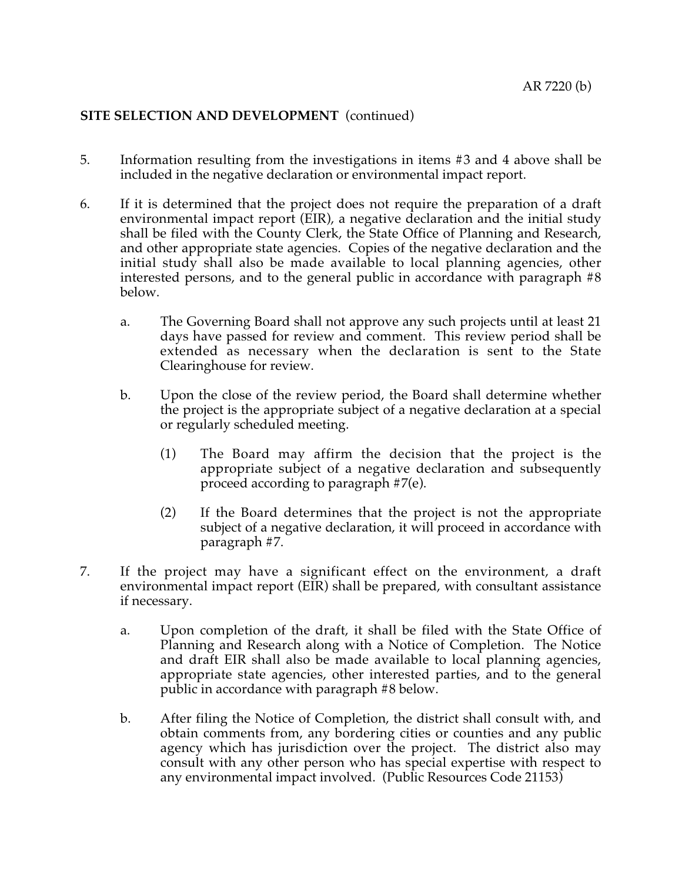## **SITE SELECTION AND DEVELOPMENT** (continued)

- 5. Information resulting from the investigations in items #3 and 4 above shall be included in the negative declaration or environmental impact report.
- 6. If it is determined that the project does not require the preparation of a draft environmental impact report (EIR), a negative declaration and the initial study shall be filed with the County Clerk, the State Office of Planning and Research, and other appropriate state agencies. Copies of the negative declaration and the initial study shall also be made available to local planning agencies, other interested persons, and to the general public in accordance with paragraph #8 below.
	- a. The Governing Board shall not approve any such projects until at least 21 days have passed for review and comment. This review period shall be extended as necessary when the declaration is sent to the State Clearinghouse for review.
	- b. Upon the close of the review period, the Board shall determine whether the project is the appropriate subject of a negative declaration at a special or regularly scheduled meeting.
		- (1) The Board may affirm the decision that the project is the appropriate subject of a negative declaration and subsequently proceed according to paragraph #7(e).
		- (2) If the Board determines that the project is not the appropriate subject of a negative declaration, it will proceed in accordance with paragraph #7.
- 7. If the project may have a significant effect on the environment, a draft environmental impact report (EIR) shall be prepared, with consultant assistance if necessary.
	- a. Upon completion of the draft, it shall be filed with the State Office of Planning and Research along with a Notice of Completion. The Notice and draft EIR shall also be made available to local planning agencies, appropriate state agencies, other interested parties, and to the general public in accordance with paragraph #8 below.
	- b. After filing the Notice of Completion, the district shall consult with, and obtain comments from, any bordering cities or counties and any public agency which has jurisdiction over the project. The district also may consult with any other person who has special expertise with respect to any environmental impact involved. (Public Resources Code 21153)